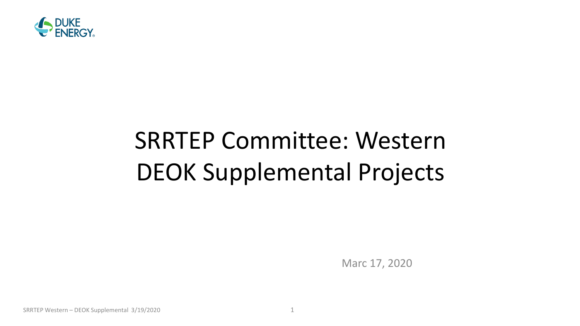

# SRRTEP Committee: Western DEOK Supplemental Projects

Marc 17, 2020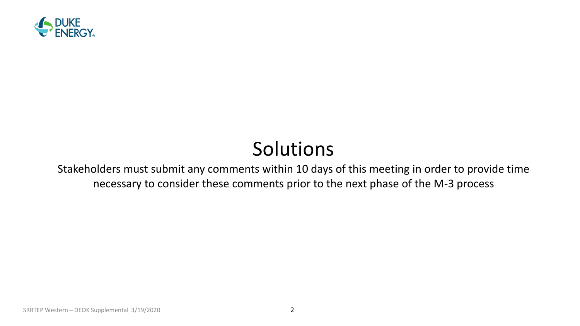

## Solutions

Stakeholders must submit any comments within 10 days of this meeting in order to provide time necessary to consider these comments prior to the next phase of the M-3 process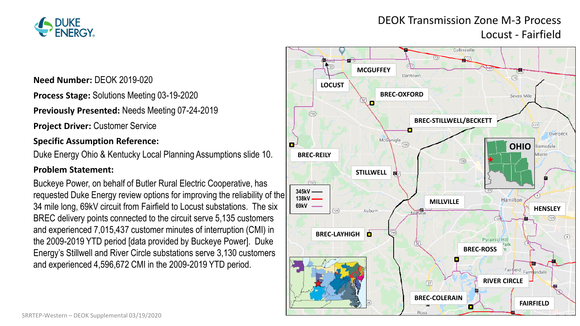

#### DEOK Transmission Zone M-3 Process Locust - Fairfield

**Need Number:** DEOK 2019-020

**Process Stage:** Solutions Meeting 03-19-2020

**Previously Presented:** Needs Meeting 07-24-2019

**Project Driver:** Customer Service

#### **Specific Assumption Reference:**

Duke Energy Ohio & Kentucky Local Planning Assumptions slide 10.

#### **Problem Statement:**

Buckeye Power, on behalf of Butler Rural Electric Cooperative, has requested Duke Energy review options for improving the reliability of the 34 mile long, 69kV circuit from Fairfield to Locust substations. The six BREC delivery points connected to the circuit serve 5,135 customers and experienced 7,015,437 customer minutes of interruption (CMI) in the 2009-2019 YTD period [data provided by Buckeye Power]. Duke Energy's Stillwell and River Circle substations serve 3,130 customers and experienced 4,596,672 CMI in the 2009-2019 YTD period.

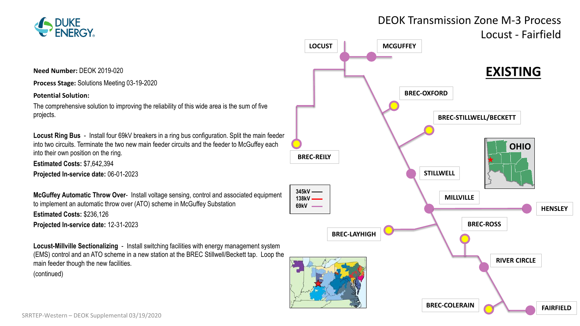

DEOK Transmission Zone M-3 Process

**Need Number:** DEOK 2019-020

**Process Stage:** Solutions Meeting 03-19-2020

**Potential Solution:**

The comprehensive solution to improving the reliability of this wide area is the sum of five projects.

**Locust Ring Bus** - Install four 69kV breakers in a ring bus configuration. Split the main feeder into two circuits. Terminate the two new main feeder circuits and the feeder to McGuffey each into their own position on the ring.

**Estimated Costs:** \$7,642,394

**Projected In-service date:** 06-01-2023

**McGuffey Automatic Throw Over**- Install voltage sensing, control and associated equipment to implement an automatic throw over (ATO) scheme in McGuffey Substation **Estimated Costs:** \$236,126 **Projected In-service date:** 12-31-2023

**Locust-Millville Sectionalizing** - Install switching facilities with energy management system (EMS) control and an ATO scheme in a new station at the BREC Stillwell/Beckett tap. Loop the

main feeder though the new facilities. (continued)

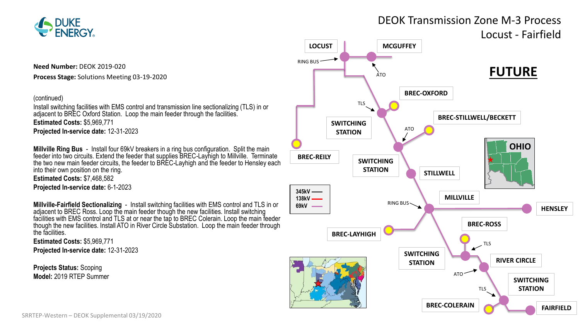

**Need Number:** DEOK 2019-020

**Process Stage:** Solutions Meeting 03-19-2020

#### (continued)

Install switching facilities with EMS control and transmission line sectionalizing (TLS) in or adjacent to BREC Oxford Station. Loop the main feeder through the facilities. **Estimated Costs:** \$5,969,771 **Projected In-service date:** 12-31-2023

**Millville Ring Bus** - Install four 69kV breakers in a ring bus configuration. Split the main feeder into two circuits. Extend the feeder that supplies BREC-Layhigh to Millville. Terminate the two new main feeder circuits, the feeder to BREC-Layhigh and the feeder to Hensley each into their own position on the ring.

**Estimated Costs:** \$7,468,582 **Projected In-service date:** 6-1-2023

**Millville-Fairfield Sectionalizing** - Install switching facilities with EMS control and TLS in or adjacent to BREC Ross. Loop the main feeder though the new facilities. Install switching facilities with EMS control and TLS at or near the tap to BREC Colerain. Loop the main feeder though the new facilities. Install ATO in River Circle Substation. Loop the main feeder through the facilities.

**Estimated Costs:** \$5,969,771 **Projected In-service date:** 12-31-2023

**Projects Status:** Scoping **Model:** 2019 RTEP Summer

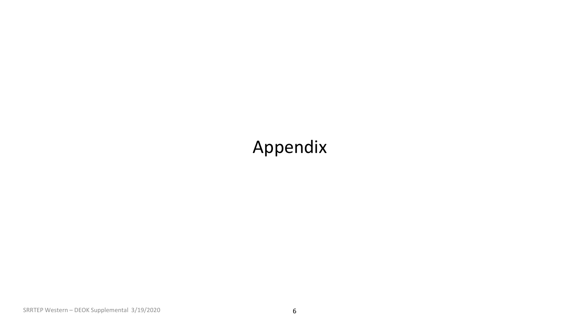### Appendix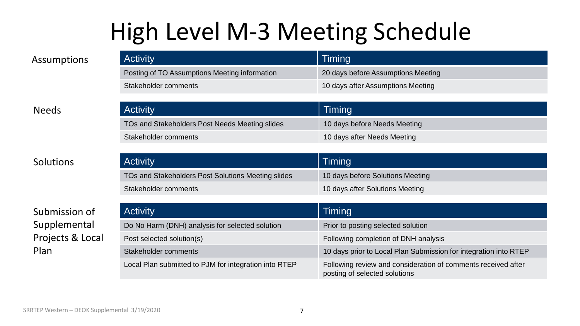## High Level M-3 Meeting Schedule

| Assumptions  | <b>Activity</b>                                | Timing                             |
|--------------|------------------------------------------------|------------------------------------|
|              | Posting of TO Assumptions Meeting information  | 20 days before Assumptions Meeting |
|              | Stakeholder comments                           | 10 days after Assumptions Meeting  |
|              |                                                |                                    |
| <b>Needs</b> | <b>Activity</b>                                | Timing                             |
|              | TOs and Stakeholders Post Needs Meeting slides | 10 days before Needs Meeting       |
|              | Stakeholder comments                           | 10 days after Needs Meeting        |

| <b>Activity</b>                                    | Timing                           |
|----------------------------------------------------|----------------------------------|
| TOs and Stakeholders Post Solutions Meeting slides | 10 days before Solutions Meeting |
| Stakeholder comments                               | 10 days after Solutions Meeting  |

| Submission of    | <b>Activity</b>                                       | Timing                                                                                         |
|------------------|-------------------------------------------------------|------------------------------------------------------------------------------------------------|
| Supplemental     | Do No Harm (DNH) analysis for selected solution       | Prior to posting selected solution                                                             |
| Projects & Local | Post selected solution(s)                             | Following completion of DNH analysis                                                           |
| Plan             | Stakeholder comments                                  | 10 days prior to Local Plan Submission for integration into RTEP                               |
|                  | Local Plan submitted to PJM for integration into RTEP | Following review and consideration of comments received after<br>posting of selected solutions |

**Solutions**